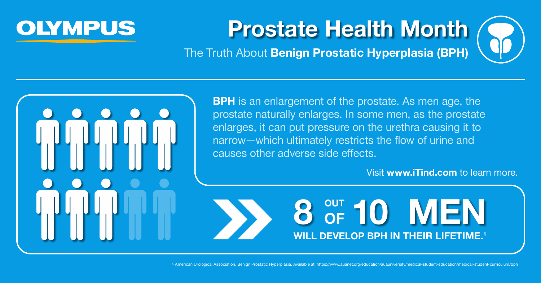

The Truth About **Benign Prostatic Hyperplasia (BPH)**



**BPH** is an enlargement of the prostate. As men age, the prostate naturally enlarges. In some men, as the prostate enlarges, it can put pressure on the urethra causing it to narrow—which ultimately restricts the flow of urine and causes other adverse side effects.

8 OUT 10 MEN **OF DEVELOP BPH IN THEIR LIFETIME.<sup>1</sup>** 

1. American Urological Association, Benign Prostatic Hyperplasia. Available at: https://www.auanet.org/education/auauniversity/medical-student-education/medical-student-education/medical-student-education/medical-student-e



### Visit **www.iTind.com** to learn more.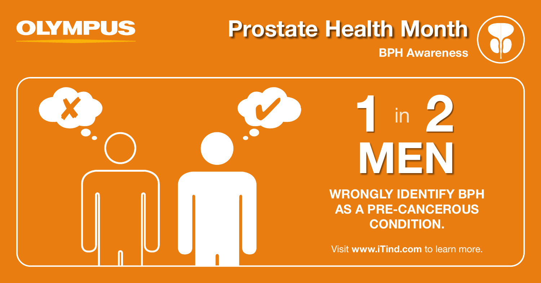



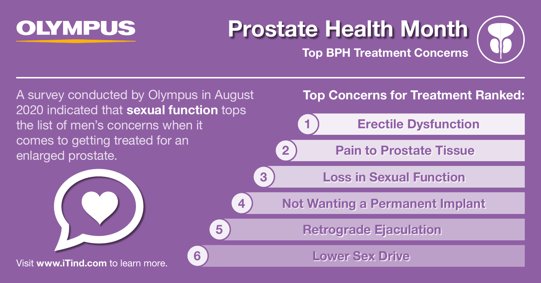

**Top BPH Treatment Concerns**

A survey conducted by Olympus in August 2020 indicated that **sexual function** tops the list of men's concerns when it comes to getting treated for an enlarged prostate.



### **Top Concerns for Treatment Ranked:**

### **1 Erectile Dysfunction**